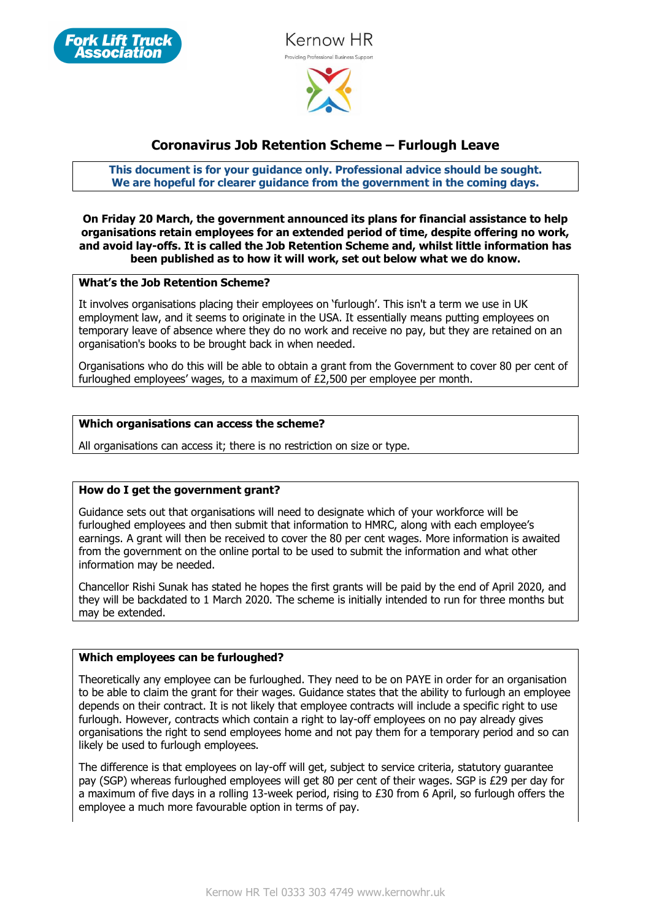



# **Coronavirus Job Retention Scheme – Furlough Leave**

**This document is for your guidance only. Professional advice should be sought. We are hopeful for clearer guidance from the government in the coming days.**

**On Friday 20 March, the government announced its plans for financial assistance to help organisations retain employees for an extended period of time, despite offering no work, and avoid lay-offs. It is called the Job Retention Scheme and, whilst little information has been published as to how it will work, set out below what we do know.**

#### **What's the Job Retention Scheme?**

It involves organisations placing their employees on 'furlough'. This isn't a term we use in UK employment law, and it seems to originate in the USA. It essentially means putting employees on temporary leave of absence where they do no work and receive no pay, but they are retained on an organisation's books to be brought back in when needed.

Organisations who do this will be able to obtain a grant from the Government to cover 80 per cent of furloughed employees' wages, to a maximum of £2,500 per employee per month.

#### **Which organisations can access the scheme?**

All organisations can access it; there is no restriction on size or type.

# **How do I get the government grant?**

Guidance sets out that organisations will need to designate which of your workforce will be furloughed employees and then submit that information to HMRC, along with each employee's earnings. A grant will then be received to cover the 80 per cent wages. More information is awaited from the government on the online portal to be used to submit the information and what other information may be needed.

Chancellor Rishi Sunak has stated he hopes the first grants will be paid by the end of April 2020, and they will be backdated to 1 March 2020. The scheme is initially intended to run for three months but may be extended.

#### **Which employees can be furloughed?**

Theoretically any employee can be furloughed. They need to be on PAYE in order for an organisation to be able to claim the grant for their wages. Guidance states that the ability to furlough an employee depends on their contract. It is not likely that employee contracts will include a specific right to use furlough. However, contracts which contain a right to lay-off employees on no pay already gives organisations the right to send employees home and not pay them for a temporary period and so can likely be used to furlough employees.

The difference is that employees on lay-off will get, subject to service criteria, statutory guarantee pay (SGP) whereas furloughed employees will get 80 per cent of their wages. SGP is £29 per day for a maximum of five days in a rolling 13-week period, rising to £30 from 6 April, so furlough offers the employee a much more favourable option in terms of pay.